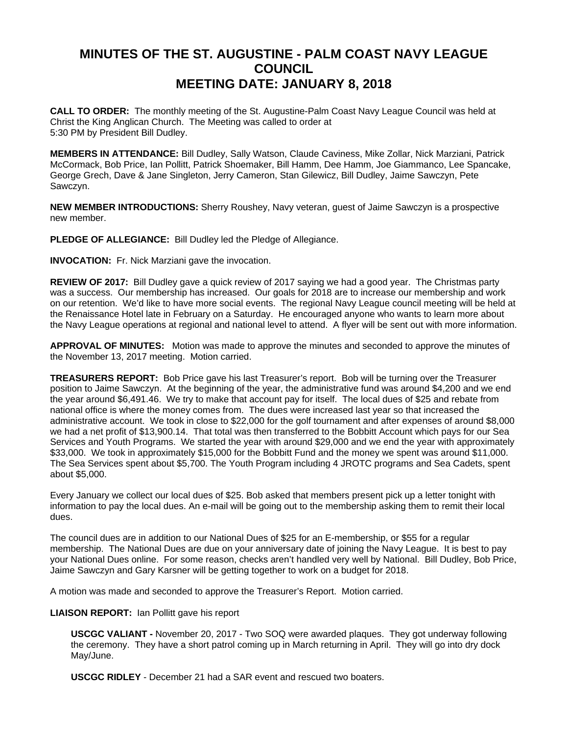## **MINUTES OF THE ST. AUGUSTINE - PALM COAST NAVY LEAGUE COUNCIL MEETING DATE: JANUARY 8, 2018**

**CALL TO ORDER:** The monthly meeting of the St. Augustine-Palm Coast Navy League Council was held at Christ the King Anglican Church. The Meeting was called to order at 5:30 PM by President Bill Dudley.

**MEMBERS IN ATTENDANCE:** Bill Dudley, Sally Watson, Claude Caviness, Mike Zollar, Nick Marziani, Patrick McCormack, Bob Price, Ian Pollitt, Patrick Shoemaker, Bill Hamm, Dee Hamm, Joe Giammanco, Lee Spancake, George Grech, Dave & Jane Singleton, Jerry Cameron, Stan Gilewicz, Bill Dudley, Jaime Sawczyn, Pete Sawczyn.

**NEW MEMBER INTRODUCTIONS:** Sherry Roushey, Navy veteran, guest of Jaime Sawczyn is a prospective new member.

**PLEDGE OF ALLEGIANCE:** Bill Dudley led the Pledge of Allegiance.

**INVOCATION:** Fr. Nick Marziani gave the invocation.

**REVIEW OF 2017:** Bill Dudley gave a quick review of 2017 saying we had a good year. The Christmas party was a success. Our membership has increased. Our goals for 2018 are to increase our membership and work on our retention. We'd like to have more social events. The regional Navy League council meeting will be held at the Renaissance Hotel late in February on a Saturday. He encouraged anyone who wants to learn more about the Navy League operations at regional and national level to attend. A flyer will be sent out with more information.

**APPROVAL OF MINUTES:** Motion was made to approve the minutes and seconded to approve the minutes of the November 13, 2017 meeting. Motion carried.

**TREASURERS REPORT:** Bob Price gave his last Treasurer's report. Bob will be turning over the Treasurer position to Jaime Sawczyn. At the beginning of the year, the administrative fund was around \$4,200 and we end the year around \$6,491.46. We try to make that account pay for itself. The local dues of \$25 and rebate from national office is where the money comes from. The dues were increased last year so that increased the administrative account. We took in close to \$22,000 for the golf tournament and after expenses of around \$8,000 we had a net profit of \$13,900.14. That total was then transferred to the Bobbitt Account which pays for our Sea Services and Youth Programs. We started the year with around \$29,000 and we end the year with approximately \$33,000. We took in approximately \$15,000 for the Bobbitt Fund and the money we spent was around \$11,000. The Sea Services spent about \$5,700. The Youth Program including 4 JROTC programs and Sea Cadets, spent about \$5,000.

Every January we collect our local dues of \$25. Bob asked that members present pick up a letter tonight with information to pay the local dues. An e-mail will be going out to the membership asking them to remit their local dues.

The council dues are in addition to our National Dues of \$25 for an E-membership, or \$55 for a regular membership. The National Dues are due on your anniversary date of joining the Navy League. It is best to pay your National Dues online. For some reason, checks aren't handled very well by National. Bill Dudley, Bob Price, Jaime Sawczyn and Gary Karsner will be getting together to work on a budget for 2018.

A motion was made and seconded to approve the Treasurer's Report. Motion carried.

**LIAISON REPORT:** Ian Pollitt gave his report

**USCGC VALIANT -** November 20, 2017 - Two SOQ were awarded plaques. They got underway following the ceremony. They have a short patrol coming up in March returning in April. They will go into dry dock May/June.

**USCGC RIDLEY** - December 21 had a SAR event and rescued two boaters.